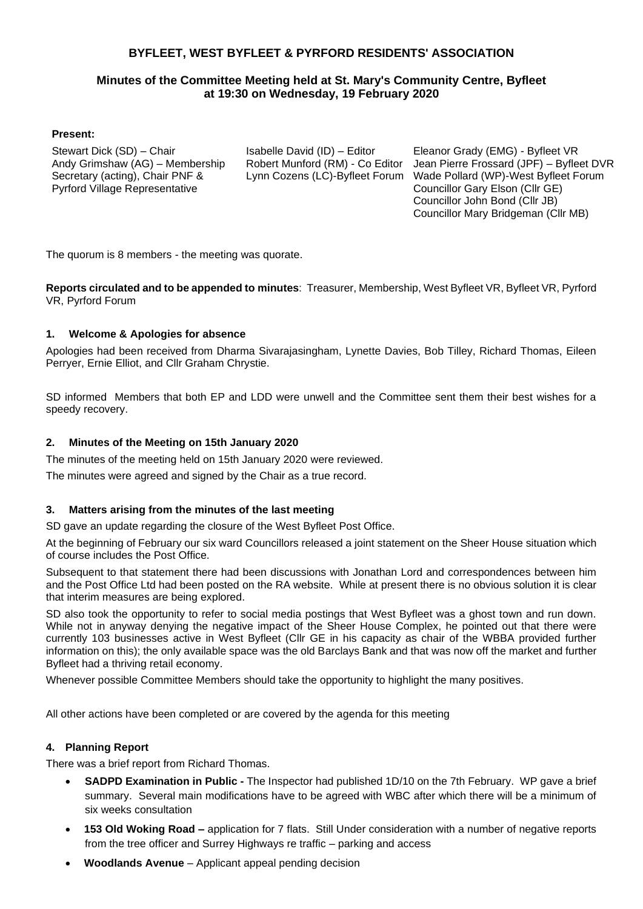## **BYFLEET, WEST BYFLEET & PYRFORD RESIDENTS' ASSOCIATION**

## **Minutes of the Committee Meeting held at St. Mary's Community Centre, Byfleet at 19:30 on Wednesday, 19 February 2020**

#### **Present:**

Stewart Dick (SD) – Chair Andy Grimshaw (AG) – Membership Secretary (acting), Chair PNF & Pyrford Village Representative

Isabelle David (ID) – Editor Robert Munford (RM) - Co Editor Lynn Cozens (LC)-Byfleet Forum

Eleanor Grady (EMG) - Byfleet VR Jean Pierre Frossard (JPF) – Byfleet DVR Wade Pollard (WP)-West Byfleet Forum Councillor Gary Elson (Cllr GE) Councillor John Bond (Cllr JB) Councillor Mary Bridgeman (Cllr MB)

The quorum is 8 members - the meeting was quorate.

**Reports circulated and to be appended to minutes**: Treasurer, Membership, West Byfleet VR, Byfleet VR, Pyrford VR, Pyrford Forum

#### **1. Welcome & Apologies for absence**

Apologies had been received from Dharma Sivarajasingham, Lynette Davies, Bob Tilley, Richard Thomas, Eileen Perryer, Ernie Elliot, and Cllr Graham Chrystie.

SD informed Members that both EP and LDD were unwell and the Committee sent them their best wishes for a speedy recovery.

#### **2. Minutes of the Meeting on 15th January 2020**

The minutes of the meeting held on 15th January 2020 were reviewed.

The minutes were agreed and signed by the Chair as a true record.

#### **3. Matters arising from the minutes of the last meeting**

SD gave an update regarding the closure of the West Byfleet Post Office.

At the beginning of February our six ward Councillors released a joint statement on the Sheer House situation which of course includes the Post Office.

Subsequent to that statement there had been discussions with Jonathan Lord and correspondences between him and the Post Office Ltd had been posted on the RA website. While at present there is no obvious solution it is clear that interim measures are being explored.

SD also took the opportunity to refer to social media postings that West Byfleet was a ghost town and run down. While not in anyway denying the negative impact of the Sheer House Complex, he pointed out that there were currently 103 businesses active in West Byfleet (Cllr GE in his capacity as chair of the WBBA provided further information on this); the only available space was the old Barclays Bank and that was now off the market and further Byfleet had a thriving retail economy.

Whenever possible Committee Members should take the opportunity to highlight the many positives.

All other actions have been completed or are covered by the agenda for this meeting

#### **4. Planning Report**

There was a brief report from Richard Thomas.

- **SADPD Examination in Public -** The Inspector had published 1D/10 on the 7th February. WP gave a brief summary. Several main modifications have to be agreed with WBC after which there will be a minimum of six weeks consultation
- **153 Old Woking Road –** application for 7 flats. Still Under consideration with a number of negative reports from the tree officer and Surrey Highways re traffic – parking and access
- **Woodlands Avenue**  Applicant appeal pending decision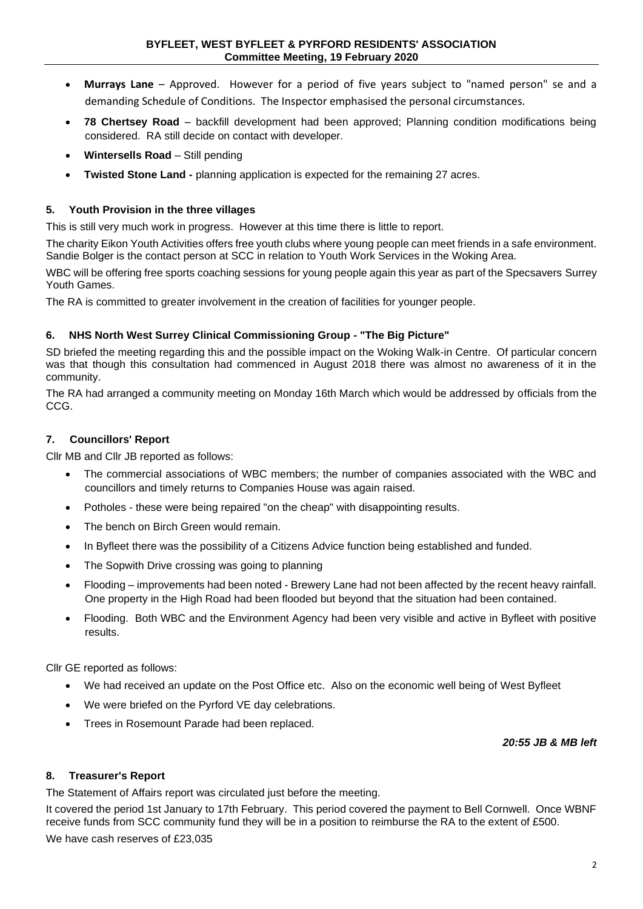- **Murrays Lane**  Approved. However for a period of five years subject to "named person" se and a demanding Schedule of Conditions. The Inspector emphasised the personal circumstances.
- **78 Chertsey Road**  backfill development had been approved; Planning condition modifications being considered. RA still decide on contact with developer.
- **Wintersells Road** Still pending
- **Twisted Stone Land -** planning application is expected for the remaining 27 acres.

#### **5. Youth Provision in the three villages**

This is still very much work in progress. However at this time there is little to report.

The charity Eikon Youth Activities offers free youth clubs where young people can meet friends in a safe environment. Sandie Bolger is the contact person at SCC in relation to Youth Work Services in the Woking Area.

WBC will be offering free sports coaching sessions for young people again this year as part of the Specsavers Surrey Youth Games.

The RA is committed to greater involvement in the creation of facilities for younger people.

#### **6. NHS North West Surrey Clinical Commissioning Group - "The Big Picture"**

SD briefed the meeting regarding this and the possible impact on the Woking Walk-in Centre. Of particular concern was that though this consultation had commenced in August 2018 there was almost no awareness of it in the community.

The RA had arranged a community meeting on Monday 16th March which would be addressed by officials from the CCG.

#### **7. Councillors' Report**

Cllr MB and Cllr JB reported as follows:

- The commercial associations of WBC members; the number of companies associated with the WBC and councillors and timely returns to Companies House was again raised.
- Potholes these were being repaired "on the cheap" with disappointing results.
- The bench on Birch Green would remain.
- In Byfleet there was the possibility of a Citizens Advice function being established and funded.
- The Sopwith Drive crossing was going to planning
- Flooding improvements had been noted Brewery Lane had not been affected by the recent heavy rainfall. One property in the High Road had been flooded but beyond that the situation had been contained.
- Flooding. Both WBC and the Environment Agency had been very visible and active in Byfleet with positive results.

Cllr GE reported as follows:

- We had received an update on the Post Office etc. Also on the economic well being of West Byfleet
- We were briefed on the Pyrford VE day celebrations.
- Trees in Rosemount Parade had been replaced.

#### *20:55 JB & MB left*

#### **8. Treasurer's Report**

The Statement of Affairs report was circulated just before the meeting.

It covered the period 1st January to 17th February. This period covered the payment to Bell Cornwell. Once WBNF receive funds from SCC community fund they will be in a position to reimburse the RA to the extent of £500.

We have cash reserves of £23,035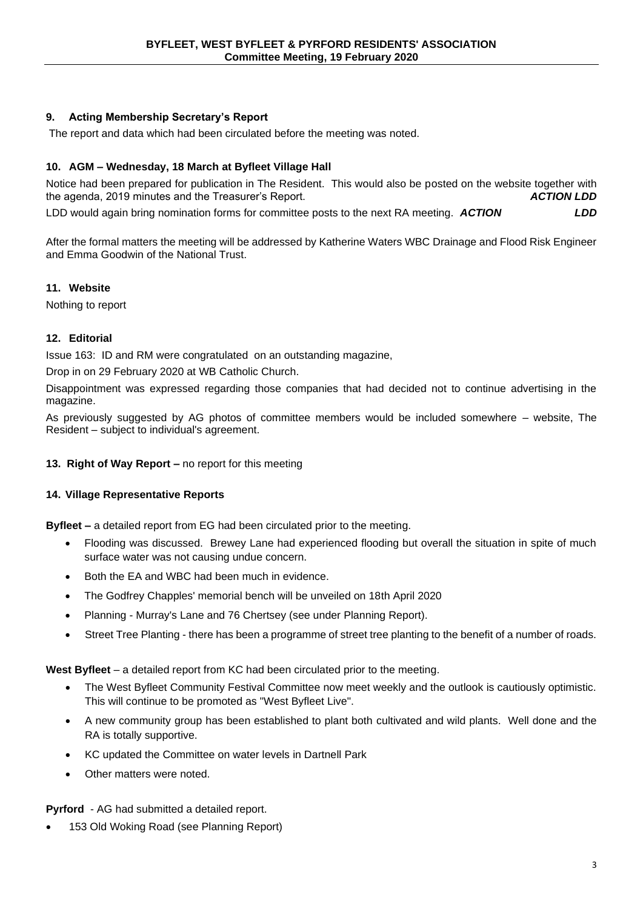## **9. Acting Membership Secretary's Report**

The report and data which had been circulated before the meeting was noted.

#### **10. AGM – Wednesday, 18 March at Byfleet Village Hall**

Notice had been prepared for publication in The Resident. This would also be posted on the website together with the agenda. 2019 minutes and the Treasurer's Report. the agenda, 2019 minutes and the Treasurer's Report.

LDD would again bring nomination forms for committee posts to the next RA meeting. *ACTION LDD*

After the formal matters the meeting will be addressed by Katherine Waters WBC Drainage and Flood Risk Engineer and Emma Goodwin of the National Trust.

#### **11. Website**

Nothing to report

### **12. Editorial**

Issue 163: ID and RM were congratulated on an outstanding magazine,

Drop in on 29 February 2020 at WB Catholic Church.

Disappointment was expressed regarding those companies that had decided not to continue advertising in the magazine.

As previously suggested by AG photos of committee members would be included somewhere – website, The Resident – subject to individual's agreement.

**13. Right of Way Report –** no report for this meeting

### **14. Village Representative Reports**

**Byfleet –** a detailed report from EG had been circulated prior to the meeting.

- Flooding was discussed. Brewey Lane had experienced flooding but overall the situation in spite of much surface water was not causing undue concern.
- Both the EA and WBC had been much in evidence.
- The Godfrey Chapples' memorial bench will be unveiled on 18th April 2020
- Planning Murray's Lane and 76 Chertsey (see under Planning Report).
- Street Tree Planting there has been a programme of street tree planting to the benefit of a number of roads.

**West Byfleet** – a detailed report from KC had been circulated prior to the meeting.

- The West Byfleet Community Festival Committee now meet weekly and the outlook is cautiously optimistic. This will continue to be promoted as "West Byfleet Live".
- A new community group has been established to plant both cultivated and wild plants. Well done and the RA is totally supportive.
- KC updated the Committee on water levels in Dartnell Park
- Other matters were noted.

**Pyrford** - AG had submitted a detailed report.

• 153 Old Woking Road (see Planning Report)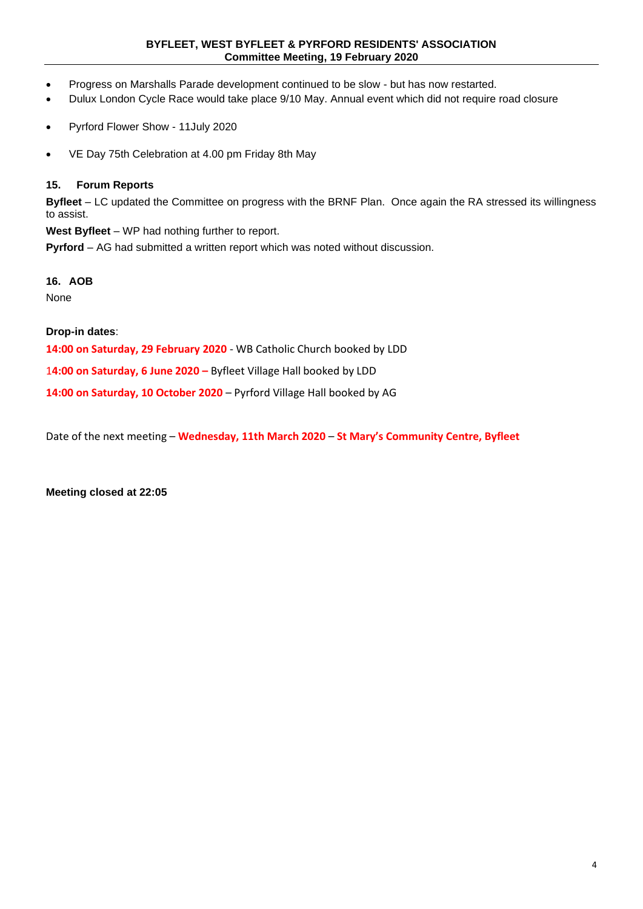#### **BYFLEET, WEST BYFLEET & PYRFORD RESIDENTS' ASSOCIATION Committee Meeting, 19 February 2020**

- Progress on Marshalls Parade development continued to be slow but has now restarted.
- Dulux London Cycle Race would take place 9/10 May. Annual event which did not require road closure
- Pyrford Flower Show 11July 2020
- VE Day 75th Celebration at 4.00 pm Friday 8th May

#### **15. Forum Reports**

**Byfleet** – LC updated the Committee on progress with the BRNF Plan. Once again the RA stressed its willingness to assist.

**West Byfleet** – WP had nothing further to report.

**Pyrford** – AG had submitted a written report which was noted without discussion.

#### **16. AOB**

None

**Drop-in dates**:

**14:00 on Saturday, 29 February 2020** - WB Catholic Church booked by LDD

1**4:00 on Saturday, 6 June 2020 –** Byfleet Village Hall booked by LDD

**14:00 on Saturday, 10 October 2020** – Pyrford Village Hall booked by AG

Date of the next meeting – **Wednesday, 11th March 2020** – **St Mary's Community Centre, Byfleet**

**Meeting closed at 22:05**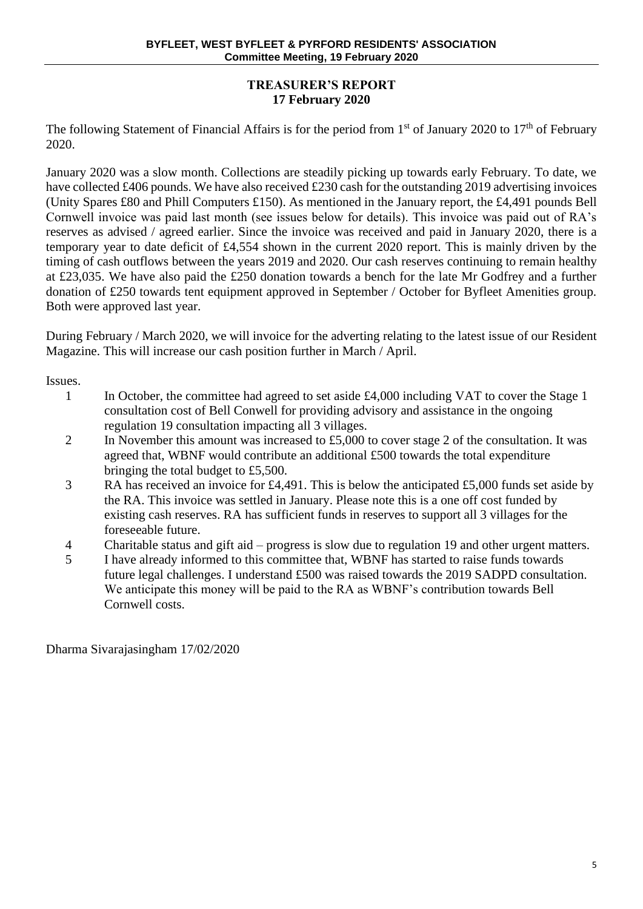## **TREASURER'S REPORT 17 February 2020**

The following Statement of Financial Affairs is for the period from  $1<sup>st</sup>$  of January 2020 to  $17<sup>th</sup>$  of February 2020.

January 2020 was a slow month. Collections are steadily picking up towards early February. To date, we have collected £406 pounds. We have also received £230 cash for the outstanding 2019 advertising invoices (Unity Spares £80 and Phill Computers £150). As mentioned in the January report, the £4,491 pounds Bell Cornwell invoice was paid last month (see issues below for details). This invoice was paid out of RA's reserves as advised / agreed earlier. Since the invoice was received and paid in January 2020, there is a temporary year to date deficit of £4,554 shown in the current 2020 report. This is mainly driven by the timing of cash outflows between the years 2019 and 2020. Our cash reserves continuing to remain healthy at £23,035. We have also paid the £250 donation towards a bench for the late Mr Godfrey and a further donation of £250 towards tent equipment approved in September / October for Byfleet Amenities group. Both were approved last year.

During February / March 2020, we will invoice for the adverting relating to the latest issue of our Resident Magazine. This will increase our cash position further in March / April.

Issues.

- 1 In October, the committee had agreed to set aside £4,000 including VAT to cover the Stage 1 consultation cost of Bell Conwell for providing advisory and assistance in the ongoing regulation 19 consultation impacting all 3 villages.
- 2 In November this amount was increased to £5,000 to cover stage 2 of the consultation. It was agreed that, WBNF would contribute an additional £500 towards the total expenditure bringing the total budget to £5,500.
- 3 RA has received an invoice for £4,491. This is below the anticipated £5,000 funds set aside by the RA. This invoice was settled in January. Please note this is a one off cost funded by existing cash reserves. RA has sufficient funds in reserves to support all 3 villages for the foreseeable future.
- 4 Charitable status and gift aid progress is slow due to regulation 19 and other urgent matters.
- 5 I have already informed to this committee that, WBNF has started to raise funds towards future legal challenges. I understand £500 was raised towards the 2019 SADPD consultation. We anticipate this money will be paid to the RA as WBNF's contribution towards Bell Cornwell costs.

Dharma Sivarajasingham 17/02/2020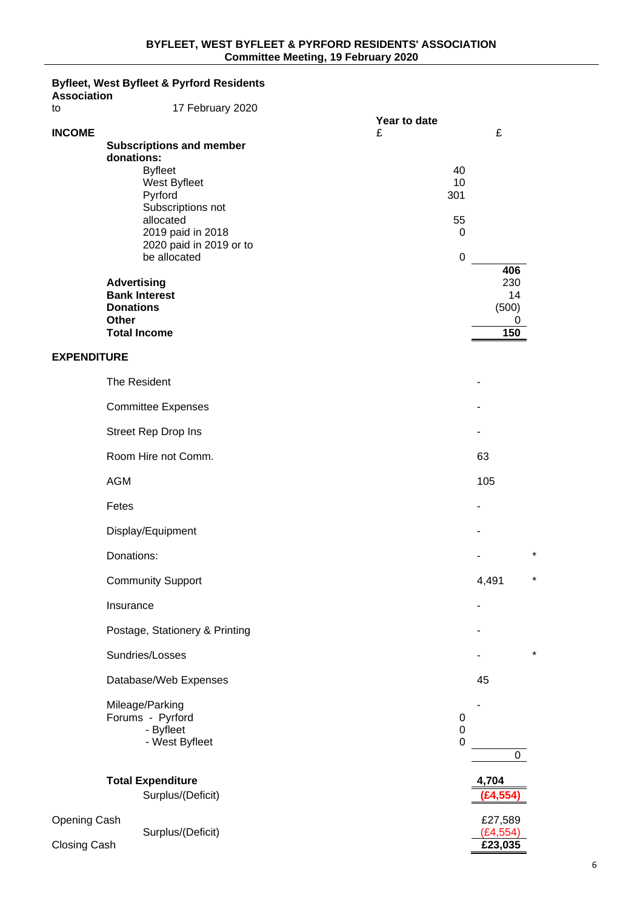#### **Byfleet, West Byfleet & Pyrford Residents**

| <b>Association</b> |                                                                                                                                                                                                                                            |                                                     |                       |
|--------------------|--------------------------------------------------------------------------------------------------------------------------------------------------------------------------------------------------------------------------------------------|-----------------------------------------------------|-----------------------|
| to                 | 17 February 2020                                                                                                                                                                                                                           | Year to date                                        |                       |
| <b>INCOME</b>      | <b>Subscriptions and member</b><br>donations:<br><b>Byfleet</b><br>West Byfleet<br>Pyrford<br>Subscriptions not<br>allocated<br>2019 paid in 2018<br>2020 paid in 2019 or to<br>be allocated<br><b>Advertising</b><br><b>Bank Interest</b> | £<br>40<br>10<br>301<br>55<br>0<br>$\boldsymbol{0}$ | £<br>406<br>230<br>14 |
|                    | <b>Donations</b><br><b>Other</b>                                                                                                                                                                                                           |                                                     | (500)<br>0            |
|                    | <b>Total Income</b>                                                                                                                                                                                                                        |                                                     | 150                   |
| <b>EXPENDITURE</b> |                                                                                                                                                                                                                                            |                                                     |                       |
|                    | The Resident                                                                                                                                                                                                                               |                                                     |                       |
|                    | <b>Committee Expenses</b>                                                                                                                                                                                                                  |                                                     |                       |
|                    | Street Rep Drop Ins                                                                                                                                                                                                                        |                                                     |                       |
|                    | Room Hire not Comm.                                                                                                                                                                                                                        |                                                     | 63                    |
|                    | <b>AGM</b>                                                                                                                                                                                                                                 |                                                     | 105                   |
|                    | Fetes                                                                                                                                                                                                                                      |                                                     |                       |
|                    | Display/Equipment                                                                                                                                                                                                                          |                                                     |                       |
|                    | Donations:                                                                                                                                                                                                                                 |                                                     |                       |
|                    | <b>Community Support</b>                                                                                                                                                                                                                   |                                                     | 4,491                 |
|                    | Insurance                                                                                                                                                                                                                                  |                                                     |                       |
|                    | Postage, Stationery & Printing                                                                                                                                                                                                             |                                                     |                       |
|                    | Sundries/Losses                                                                                                                                                                                                                            |                                                     | ×                     |
|                    | Database/Web Expenses                                                                                                                                                                                                                      |                                                     | 45                    |
|                    | Mileage/Parking<br>Forums - Pyrford<br>- Byfleet<br>- West Byfleet                                                                                                                                                                         | 0<br>0<br>$\mathbf 0$                               | 0                     |
|                    | <b>Total Expenditure</b><br>Surplus/(Deficit)                                                                                                                                                                                              |                                                     | 4,704<br>(E4, 554)    |
| Opening Cash       |                                                                                                                                                                                                                                            |                                                     | £27,589               |
| Closing Cash       | Surplus/(Deficit)                                                                                                                                                                                                                          |                                                     | (E4, 554)<br>£23,035  |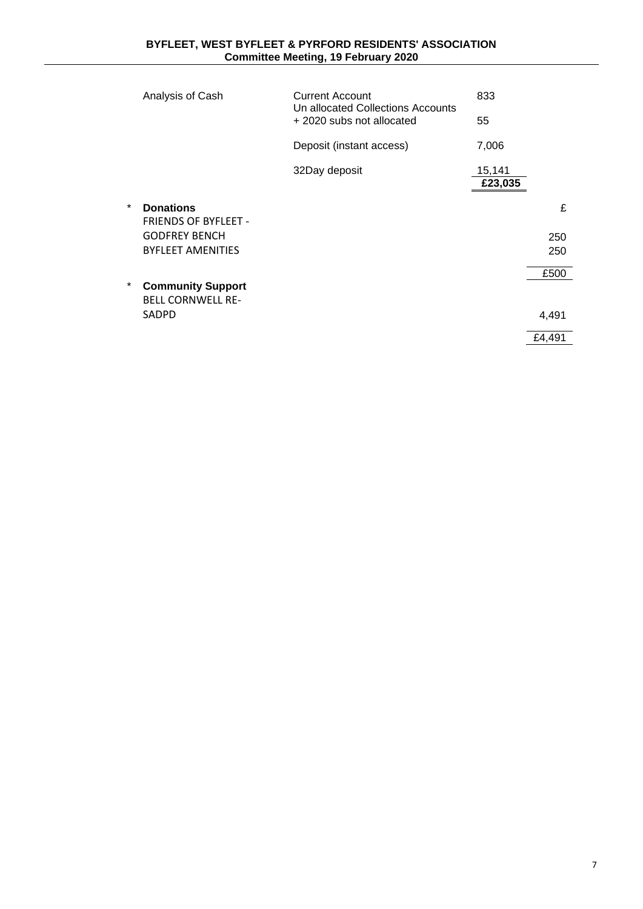|         | Analysis of Cash                                     | <b>Current Account</b><br>Un allocated Collections Accounts<br>+2020 subs not allocated |         |        |
|---------|------------------------------------------------------|-----------------------------------------------------------------------------------------|---------|--------|
|         |                                                      |                                                                                         | 55      |        |
|         |                                                      | Deposit (instant access)                                                                | 7,006   |        |
|         |                                                      | 32Day deposit                                                                           | 15,141  |        |
|         |                                                      |                                                                                         | £23,035 |        |
| $\ast$  | <b>Donations</b>                                     |                                                                                         |         | £      |
|         | <b>FRIENDS OF BYFLEET -</b>                          |                                                                                         |         |        |
|         | <b>GODFREY BENCH</b>                                 |                                                                                         |         | 250    |
|         | <b>BYFLEET AMENITIES</b>                             |                                                                                         |         | 250    |
|         |                                                      |                                                                                         |         | £500   |
| $\star$ | <b>Community Support</b><br><b>BELL CORNWELL RE-</b> |                                                                                         |         |        |
|         | <b>SADPD</b>                                         |                                                                                         |         | 4,491  |
|         |                                                      |                                                                                         |         | £4.491 |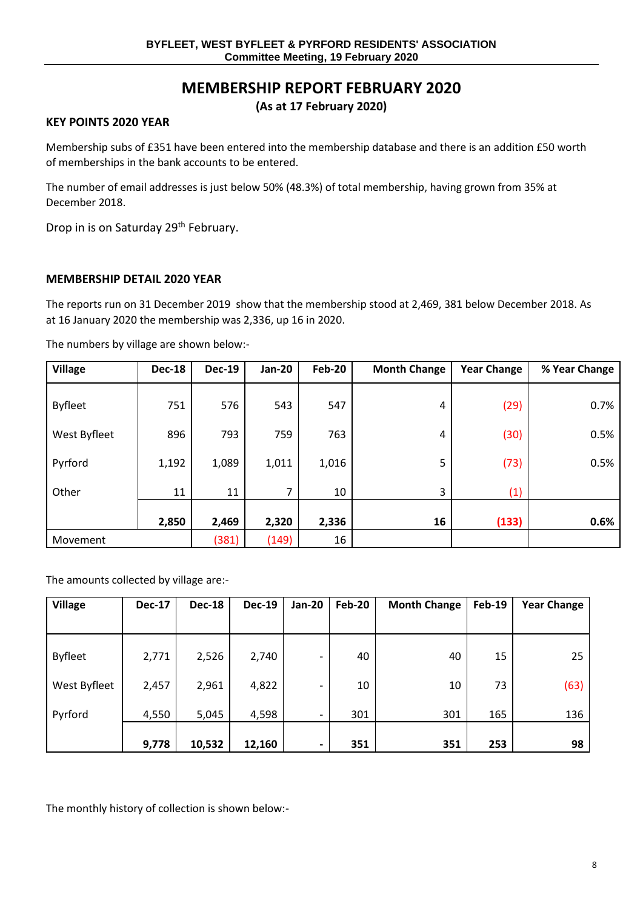# **MEMBERSHIP REPORT FEBRUARY 2020**

## **(As at 17 February 2020)**

#### **KEY POINTS 2020 YEAR**

Membership subs of £351 have been entered into the membership database and there is an addition £50 worth of memberships in the bank accounts to be entered.

The number of email addresses is just below 50% (48.3%) of total membership, having grown from 35% at December 2018.

Drop in is on Saturday 29<sup>th</sup> February.

#### **MEMBERSHIP DETAIL 2020 YEAR**

The reports run on 31 December 2019 show that the membership stood at 2,469, 381 below December 2018. As at 16 January 2020 the membership was 2,336, up 16 in 2020.

The numbers by village are shown below:-

| <b>Village</b> | <b>Dec-18</b> | <b>Dec-19</b> | <b>Jan-20</b> | <b>Feb-20</b> | <b>Month Change</b> | <b>Year Change</b> | % Year Change |
|----------------|---------------|---------------|---------------|---------------|---------------------|--------------------|---------------|
| <b>Byfleet</b> | 751           | 576           | 543           | 547           | 4                   | (29)               | 0.7%          |
| West Byfleet   | 896           | 793           | 759           | 763           | 4                   | (30)               | 0.5%          |
| Pyrford        | 1,192         | 1,089         | 1,011         | 1,016         | 5                   | (73)               | 0.5%          |
| Other          | 11            | 11            | 7             | 10            | 3                   | (1)                |               |
|                | 2,850         | 2,469         | 2,320         | 2,336         | 16                  | (133)              | 0.6%          |
| Movement       |               | (381)         | (149)         | 16            |                     |                    |               |

The amounts collected by village are:-

| <b>Village</b> | <b>Dec-17</b> | <b>Dec-18</b> | <b>Dec-19</b> | <b>Jan-20</b> | <b>Feb-20</b> | <b>Month Change</b> | <b>Feb-19</b> | <b>Year Change</b> |
|----------------|---------------|---------------|---------------|---------------|---------------|---------------------|---------------|--------------------|
|                |               |               |               |               |               |                     |               |                    |
| <b>Byfleet</b> | 2,771         | 2,526         | 2,740         | -             | 40            | 40                  | 15            | 25                 |
| West Byfleet   | 2,457         | 2,961         | 4,822         | -             | 10            | 10                  | 73            | (63)               |
| Pyrford        | 4,550         | 5,045         | 4,598         | ۰             | 301           | 301                 | 165           | 136                |
|                | 9,778         | 10,532        | 12,160        |               | 351           | 351                 | 253           | 98                 |

The monthly history of collection is shown below:-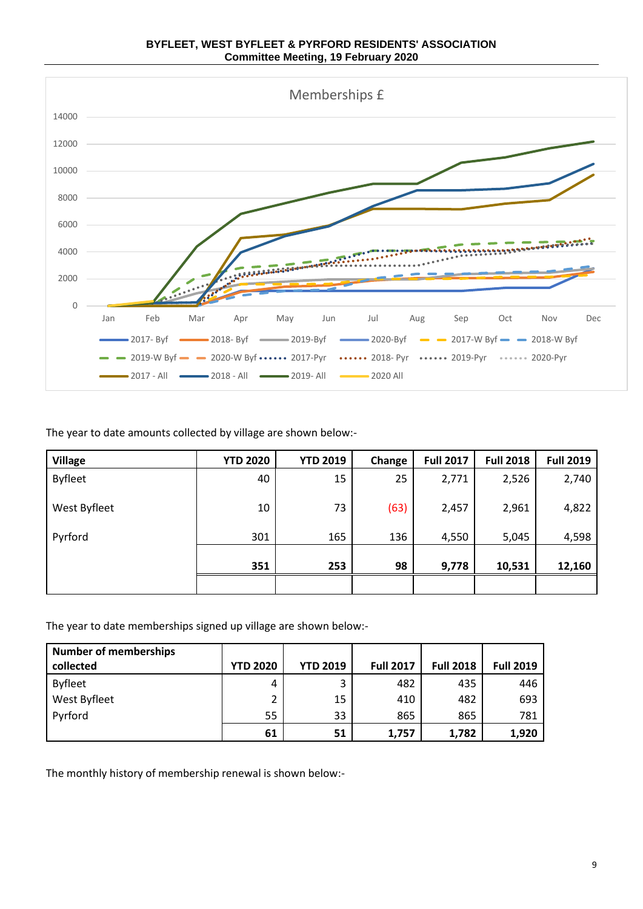



The year to date amounts collected by village are shown below:-

| <b>Village</b> | <b>YTD 2020</b> | <b>YTD 2019</b> | Change | <b>Full 2017</b> | <b>Full 2018</b> | <b>Full 2019</b> |
|----------------|-----------------|-----------------|--------|------------------|------------------|------------------|
| <b>Byfleet</b> | 40              | 15              | 25     | 2,771            | 2,526            | 2,740            |
| West Byfleet   | 10              | 73              | (63)   | 2,457            | 2,961            | 4,822            |
| Pyrford        | 301             | 165             | 136    | 4,550            | 5,045            | 4,598            |
|                | 351             | 253             | 98     | 9,778            | 10,531           | 12,160           |
|                |                 |                 |        |                  |                  |                  |

The year to date memberships signed up village are shown below:-

| <b>Number of memberships</b> |                 |                 |                  |                  |                  |
|------------------------------|-----------------|-----------------|------------------|------------------|------------------|
| collected                    | <b>YTD 2020</b> | <b>YTD 2019</b> | <b>Full 2017</b> | <b>Full 2018</b> | <b>Full 2019</b> |
| <b>Byfleet</b>               | 4               | 3               | 482              | 435              | 446              |
| West Byfleet                 | 2               | 15              | 410              | 482              | 693              |
| Pyrford                      | 55              | 33              | 865              | 865              | 781              |
|                              | 61              | 51              | 1,757            | 1,782            | 1,920            |

The monthly history of membership renewal is shown below:-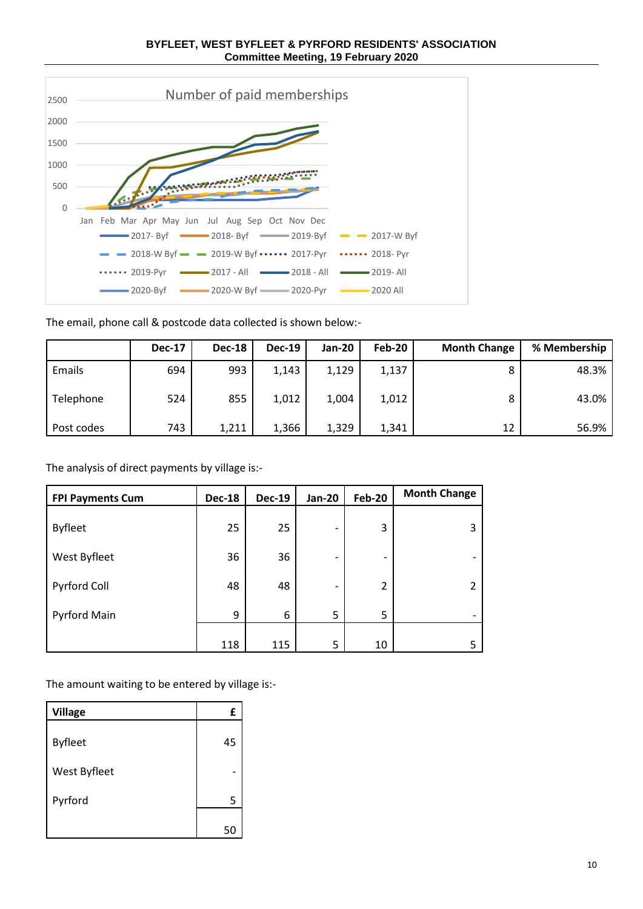

The email, phone call & postcode data collected is shown below:-

|            | <b>Dec-17</b> | <b>Dec-18</b> | <b>Dec-19</b> | <b>Jan-20</b> | Feb-20 | <b>Month Change</b> | % Membership |
|------------|---------------|---------------|---------------|---------------|--------|---------------------|--------------|
| Emails     | 694           | 993           | 1,143         | 1,129         | 1,137  |                     | 48.3%        |
| Telephone  | 524           | 855           | 1,012         | 1,004         | 1,012  |                     | 43.0%        |
| Post codes | 743           | 1,211         | 1,366         | 1,329         | 1,341  | 12                  | 56.9%        |

The analysis of direct payments by village is:-

| <b>FPI Payments Cum</b> | <b>Dec-18</b> | <b>Dec-19</b> | <b>Jan-20</b> | <b>Feb-20</b>  | <b>Month Change</b>      |
|-------------------------|---------------|---------------|---------------|----------------|--------------------------|
| <b>Byfleet</b>          | 25            | 25            | -             | 3              | 3                        |
| West Byfleet            | 36            | 36            | -             | -              | $\overline{\phantom{a}}$ |
| Pyrford Coll            | 48            | 48            | -             | $\overline{2}$ |                          |
| Pyrford Main            | 9             | 6             | 5             | 5              | $\overline{\phantom{0}}$ |
|                         | 118           | 115           | 5             | 10             | 5.                       |

The amount waiting to be entered by village is:-

| <b>Village</b> | £  |
|----------------|----|
| <b>Byfleet</b> | 45 |
| West Byfleet   |    |
| Pyrford        | 5  |
|                | 50 |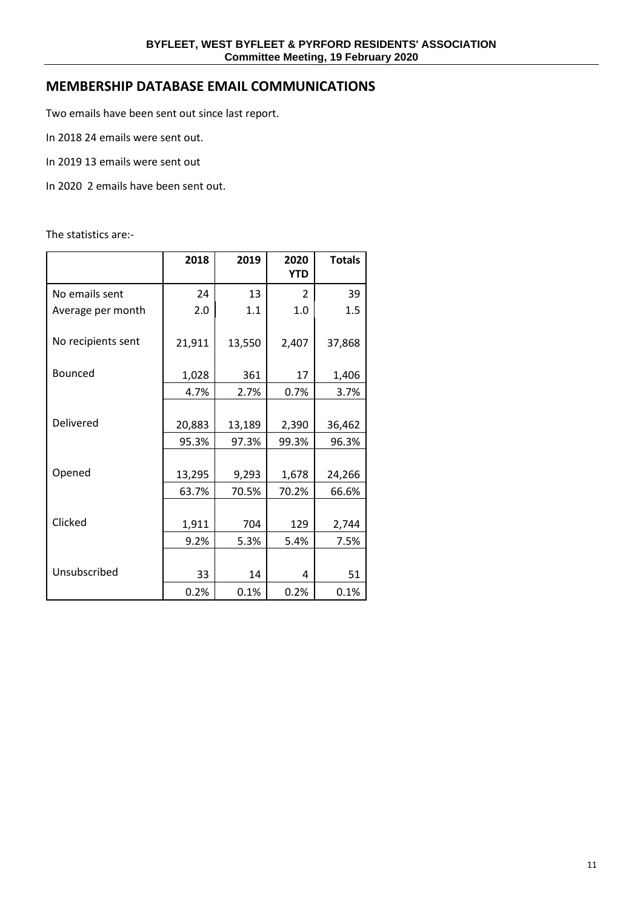## **MEMBERSHIP DATABASE EMAIL COMMUNICATIONS**

Two emails have been sent out since last report.

- In 2018 24 emails were sent out.
- In 2019 13 emails were sent out
- In 2020 2 emails have been sent out.

The statistics are:-

|                    | 2018   | 2019   | 2020<br><b>YTD</b>       | <b>Totals</b> |
|--------------------|--------|--------|--------------------------|---------------|
| No emails sent     | 24     | 13     | $\overline{\phantom{a}}$ | 39            |
| Average per month  | 2.0    | 1.1    | 1.0                      | 1.5           |
| No recipients sent | 21,911 | 13,550 | 2,407                    | 37,868        |
| Bounced            | 1,028  | 361    | 17                       | 1,406         |
|                    | 4.7%   | 2.7%   | 0.7%                     | 3.7%          |
|                    |        |        |                          |               |
| Delivered          | 20,883 | 13,189 | 2,390                    | 36,462        |
|                    | 95.3%  | 97.3%  | 99.3%                    | 96.3%         |
|                    |        |        |                          |               |
| Opened             | 13,295 | 9,293  | 1,678                    | 24,266        |
|                    | 63.7%  | 70.5%  | 70.2%                    | 66.6%         |
|                    |        |        |                          |               |
| Clicked            | 1,911  | 704    | 129                      | 2,744         |
|                    | 9.2%   | 5.3%   | 5.4%                     | 7.5%          |
|                    |        |        |                          |               |
| Unsubscribed       | 33     | 14     | 4                        | 51            |
|                    | 0.2%   | 0.1%   | 0.2%                     | 0.1%          |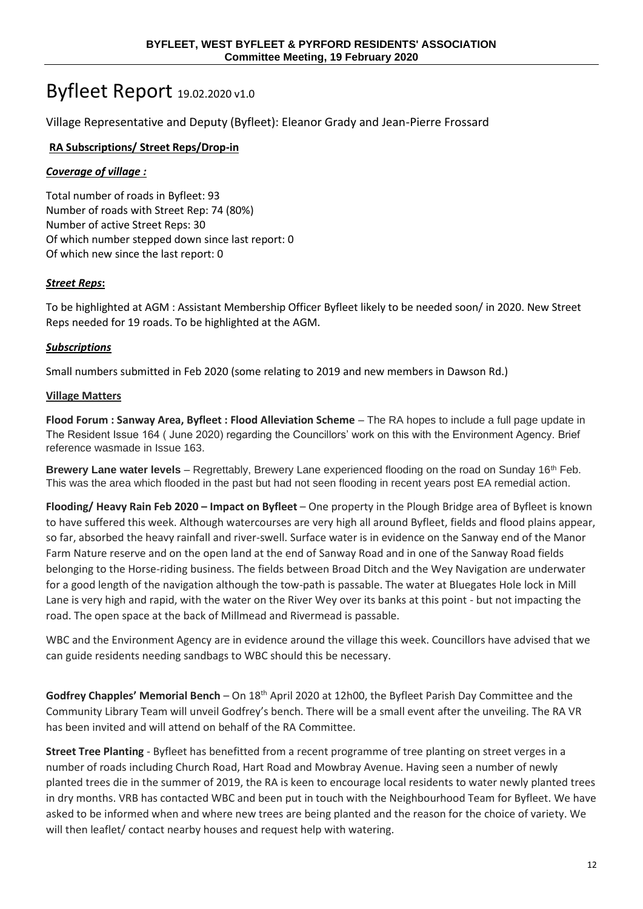# Byfleet Report 19.02.2020 v1.0

Village Representative and Deputy (Byfleet): Eleanor Grady and Jean-Pierre Frossard

## **RA Subscriptions/ Street Reps/Drop-in**

## *Coverage of village :*

Total number of roads in Byfleet: 93 Number of roads with Street Rep: 74 (80%) Number of active Street Reps: 30 Of which number stepped down since last report: 0 Of which new since the last report: 0

## *Street Reps***:**

To be highlighted at AGM : Assistant Membership Officer Byfleet likely to be needed soon/ in 2020. New Street Reps needed for 19 roads. To be highlighted at the AGM.

## *Subscriptions*

Small numbers submitted in Feb 2020 (some relating to 2019 and new members in Dawson Rd.)

### **Village Matters**

**Flood Forum : Sanway Area, Byfleet : Flood Alleviation Scheme** – The RA hopes to include a full page update in The Resident Issue 164 ( June 2020) regarding the Councillors' work on this with the Environment Agency. Brief reference wasmade in Issue 163.

**Brewery Lane water levels** – Regrettably, Brewery Lane experienced flooding on the road on Sunday 16th Feb. This was the area which flooded in the past but had not seen flooding in recent years post EA remedial action.

**Flooding/ Heavy Rain Feb 2020 – Impact on Byfleet** – One property in the Plough Bridge area of Byfleet is known to have suffered this week. Although watercourses are very high all around Byfleet, fields and flood plains appear, so far, absorbed the heavy rainfall and river-swell. Surface water is in evidence on the Sanway end of the Manor Farm Nature reserve and on the open land at the end of Sanway Road and in one of the Sanway Road fields belonging to the Horse-riding business. The fields between Broad Ditch and the Wey Navigation are underwater for a good length of the navigation although the tow-path is passable. The water at Bluegates Hole lock in Mill Lane is very high and rapid, with the water on the River Wey over its banks at this point - but not impacting the road. The open space at the back of Millmead and Rivermead is passable.

WBC and the Environment Agency are in evidence around the village this week. Councillors have advised that we can guide residents needing sandbags to WBC should this be necessary.

Godfrey Chapples' Memorial Bench – On 18<sup>th</sup> April 2020 at 12h00, the Byfleet Parish Day Committee and the Community Library Team will unveil Godfrey's bench. There will be a small event after the unveiling. The RA VR has been invited and will attend on behalf of the RA Committee.

**Street Tree Planting** - Byfleet has benefitted from a recent programme of tree planting on street verges in a number of roads including Church Road, Hart Road and Mowbray Avenue. Having seen a number of newly planted trees die in the summer of 2019, the RA is keen to encourage local residents to water newly planted trees in dry months. VRB has contacted WBC and been put in touch with the Neighbourhood Team for Byfleet. We have asked to be informed when and where new trees are being planted and the reason for the choice of variety. We will then leaflet/ contact nearby houses and request help with watering.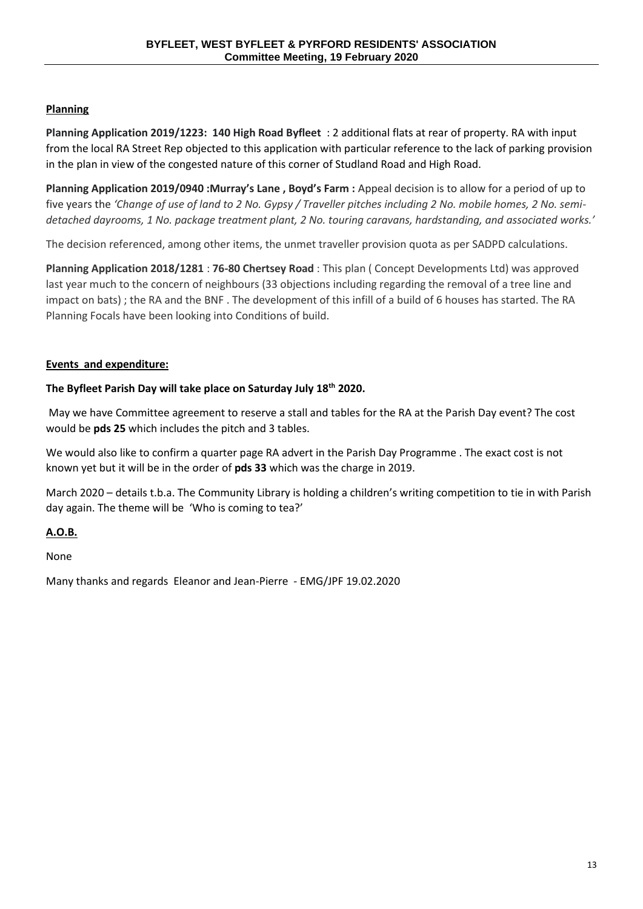## **Planning**

**Planning Application 2019/1223: 140 High Road Byfleet** : 2 additional flats at rear of property. RA with input from the local RA Street Rep objected to this application with particular reference to the lack of parking provision in the plan in view of the congested nature of this corner of Studland Road and High Road.

**Planning Application 2019/0940 :Murray's Lane , Boyd's Farm :** Appeal decision is to allow for a period of up to five years the *'Change of use of land to 2 No. Gypsy / Traveller pitches including 2 No. mobile homes, 2 No. semidetached dayrooms, 1 No. package treatment plant, 2 No. touring caravans, hardstanding, and associated works.'*

The decision referenced, among other items, the unmet traveller provision quota as per SADPD calculations.

**Planning Application 2018/1281** : **76-80 Chertsey Road** : This plan ( Concept Developments Ltd) was approved last year much to the concern of neighbours (33 objections including regarding the removal of a tree line and impact on bats) ; the RA and the BNF . The development of this infill of a build of 6 houses has started. The RA Planning Focals have been looking into Conditions of build.

### **Events and expenditure:**

### **The Byfleet Parish Day will take place on Saturday July 18th 2020.**

May we have Committee agreement to reserve a stall and tables for the RA at the Parish Day event? The cost would be **pds 25** which includes the pitch and 3 tables.

We would also like to confirm a quarter page RA advert in the Parish Day Programme . The exact cost is not known yet but it will be in the order of **pds 33** which was the charge in 2019.

March 2020 – details t.b.a. The Community Library is holding a children's writing competition to tie in with Parish day again. The theme will be 'Who is coming to tea?'

### **A.O.B.**

None

Many thanks and regards Eleanor and Jean-Pierre - EMG/JPF 19.02.2020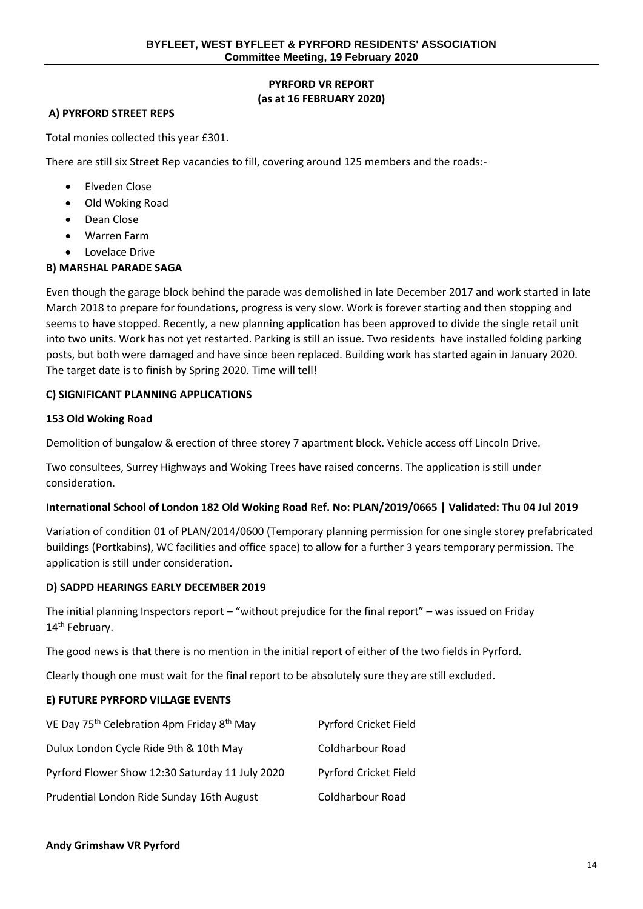## **PYRFORD VR REPORT (as at 16 FEBRUARY 2020)**

## **A) PYRFORD STREET REPS**

Total monies collected this year £301.

There are still six Street Rep vacancies to fill, covering around 125 members and the roads:-

- Elveden Close
- Old Woking Road
- Dean Close
- Warren Farm
- Lovelace Drive

## **B) MARSHAL PARADE SAGA**

Even though the garage block behind the parade was demolished in late December 2017 and work started in late March 2018 to prepare for foundations, progress is very slow. Work is forever starting and then stopping and seems to have stopped. Recently, a new planning application has been approved to divide the single retail unit into two units. Work has not yet restarted. Parking is still an issue. Two residents have installed folding parking posts, but both were damaged and have since been replaced. Building work has started again in January 2020. The target date is to finish by Spring 2020. Time will tell!

### **C) SIGNIFICANT PLANNING APPLICATIONS**

### **153 Old Woking Road**

Demolition of bungalow & erection of three storey 7 apartment block. Vehicle access off Lincoln Drive.

Two consultees, Surrey Highways and Woking Trees have raised concerns. The application is still under consideration.

### **International School of London 182 Old Woking Road Ref. No: PLAN/2019/0665 | Validated: Thu 04 Jul 2019**

Variation of condition 01 of PLAN/2014/0600 (Temporary planning permission for one single storey prefabricated buildings (Portkabins), WC facilities and office space) to allow for a further 3 years temporary permission. The application is still under consideration.

### **D) SADPD HEARINGS EARLY DECEMBER 2019**

The initial planning Inspectors report – "without prejudice for the final report" – was issued on Friday 14<sup>th</sup> February.

The good news is that there is no mention in the initial report of either of the two fields in Pyrford.

Clearly though one must wait for the final report to be absolutely sure they are still excluded.

### **E) FUTURE PYRFORD VILLAGE EVENTS**

| VE Day 75 <sup>th</sup> Celebration 4pm Friday 8 <sup>th</sup> May | Pyrford Cricket Field |
|--------------------------------------------------------------------|-----------------------|
| Dulux London Cycle Ride 9th & 10th May                             | Coldharbour Road      |
| Pyrford Flower Show 12:30 Saturday 11 July 2020                    | Pyrford Cricket Field |
| Prudential London Ride Sunday 16th August                          | Coldharbour Road      |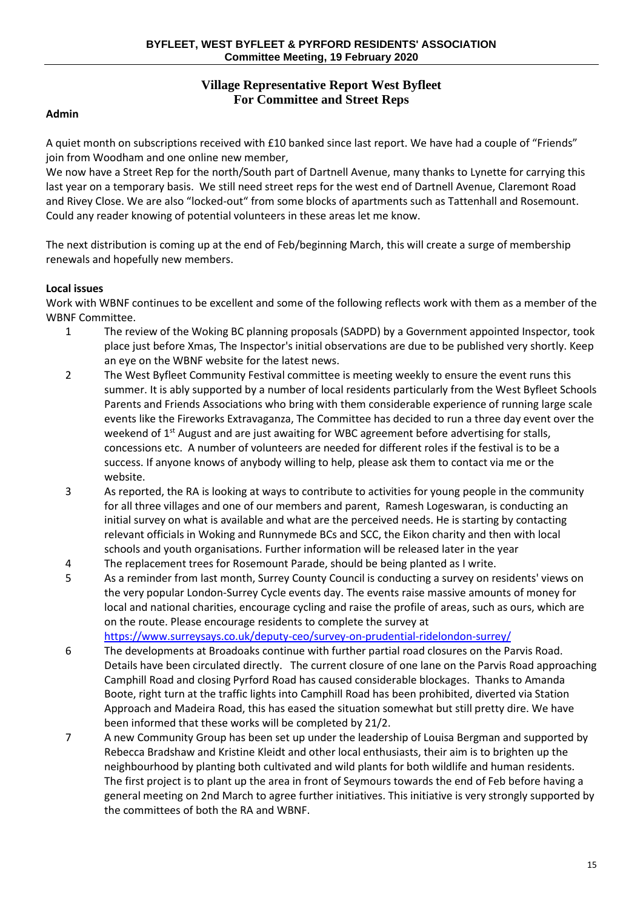## **Village Representative Report West Byfleet For Committee and Street Reps**

### **Admin**

A quiet month on subscriptions received with £10 banked since last report. We have had a couple of "Friends" join from Woodham and one online new member,

We now have a Street Rep for the north/South part of Dartnell Avenue, many thanks to Lynette for carrying this last year on a temporary basis. We still need street reps for the west end of Dartnell Avenue, Claremont Road and Rivey Close. We are also "locked-out" from some blocks of apartments such as Tattenhall and Rosemount. Could any reader knowing of potential volunteers in these areas let me know.

The next distribution is coming up at the end of Feb/beginning March, this will create a surge of membership renewals and hopefully new members.

### **Local issues**

Work with WBNF continues to be excellent and some of the following reflects work with them as a member of the WBNF Committee.

- 1 The review of the Woking BC planning proposals (SADPD) by a Government appointed Inspector, took place just before Xmas, The Inspector's initial observations are due to be published very shortly. Keep an eye on the WBNF website for the latest news.
- 2 The West Byfleet Community Festival committee is meeting weekly to ensure the event runs this summer. It is ably supported by a number of local residents particularly from the West Byfleet Schools Parents and Friends Associations who bring with them considerable experience of running large scale events like the Fireworks Extravaganza, The Committee has decided to run a three day event over the weekend of 1<sup>st</sup> August and are just awaiting for WBC agreement before advertising for stalls, concessions etc. A number of volunteers are needed for different roles if the festival is to be a success. If anyone knows of anybody willing to help, please ask them to contact via me or the website.
- 3 As reported, the RA is looking at ways to contribute to activities for young people in the community for all three villages and one of our members and parent, Ramesh Logeswaran, is conducting an initial survey on what is available and what are the perceived needs. He is starting by contacting relevant officials in Woking and Runnymede BCs and SCC, the Eikon charity and then with local schools and youth organisations. Further information will be released later in the year
- 4 The replacement trees for Rosemount Parade, should be being planted as I write.
- 5 As a reminder from last month, Surrey County Council is conducting a survey on residents' views on the very popular London-Surrey Cycle events day. The events raise massive amounts of money for local and national charities, encourage cycling and raise the profile of areas, such as ours, which are on the route. Please encourage residents to complete the survey at

<https://www.surreysays.co.uk/deputy-ceo/survey-on-prudential-ridelondon-surrey/>

- 6 The developments at Broadoaks continue with further partial road closures on the Parvis Road. Details have been circulated directly. The current closure of one lane on the Parvis Road approaching Camphill Road and closing Pyrford Road has caused considerable blockages. Thanks to Amanda Boote, right turn at the traffic lights into Camphill Road has been prohibited, diverted via Station Approach and Madeira Road, this has eased the situation somewhat but still pretty dire. We have been informed that these works will be completed by 21/2.
- 7 A new Community Group has been set up under the leadership of Louisa Bergman and supported by Rebecca Bradshaw and Kristine Kleidt and other local enthusiasts, their aim is to brighten up the neighbourhood by planting both cultivated and wild plants for both wildlife and human residents. The first project is to plant up the area in front of Seymours towards the end of Feb before having a general meeting on 2nd March to agree further initiatives. This initiative is very strongly supported by the committees of both the RA and WBNF.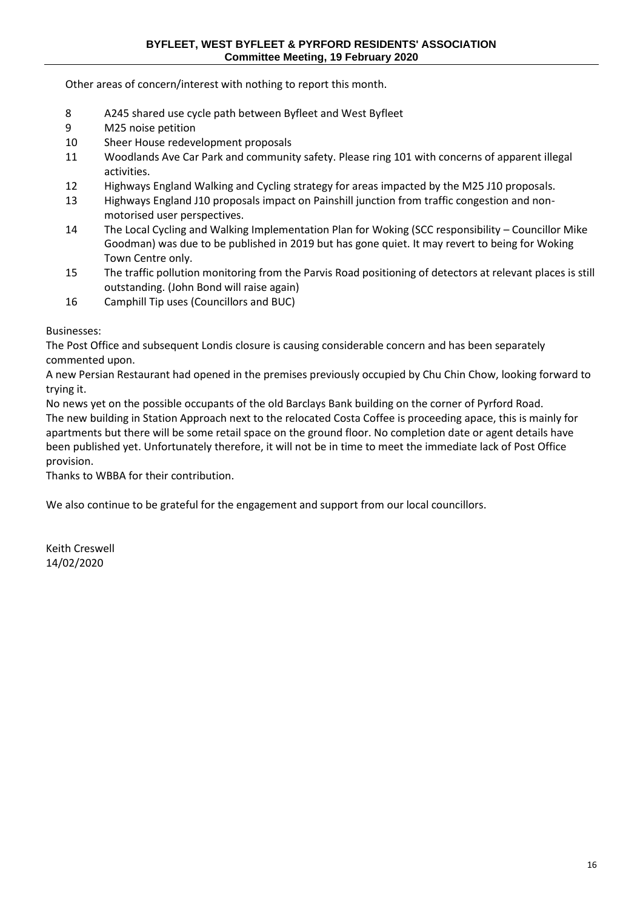Other areas of concern/interest with nothing to report this month.

- 8 A245 shared use cycle path between Byfleet and West Byfleet
- 9 M25 noise petition
- 10 Sheer House redevelopment proposals
- 11 Woodlands Ave Car Park and community safety. Please ring 101 with concerns of apparent illegal activities.
- 12 Highways England Walking and Cycling strategy for areas impacted by the M25 J10 proposals.
- 13 Highways England J10 proposals impact on Painshill junction from traffic congestion and nonmotorised user perspectives.
- 14 The Local Cycling and Walking Implementation Plan for Woking (SCC responsibility Councillor Mike Goodman) was due to be published in 2019 but has gone quiet. It may revert to being for Woking Town Centre only.
- 15 The traffic pollution monitoring from the Parvis Road positioning of detectors at relevant places is still outstanding. (John Bond will raise again)
- 16 Camphill Tip uses (Councillors and BUC)

Businesses:

The Post Office and subsequent Londis closure is causing considerable concern and has been separately commented upon.

A new Persian Restaurant had opened in the premises previously occupied by Chu Chin Chow, looking forward to trying it.

No news yet on the possible occupants of the old Barclays Bank building on the corner of Pyrford Road. The new building in Station Approach next to the relocated Costa Coffee is proceeding apace, this is mainly for apartments but there will be some retail space on the ground floor. No completion date or agent details have been published yet. Unfortunately therefore, it will not be in time to meet the immediate lack of Post Office provision.

Thanks to WBBA for their contribution.

We also continue to be grateful for the engagement and support from our local councillors.

Keith Creswell 14/02/2020